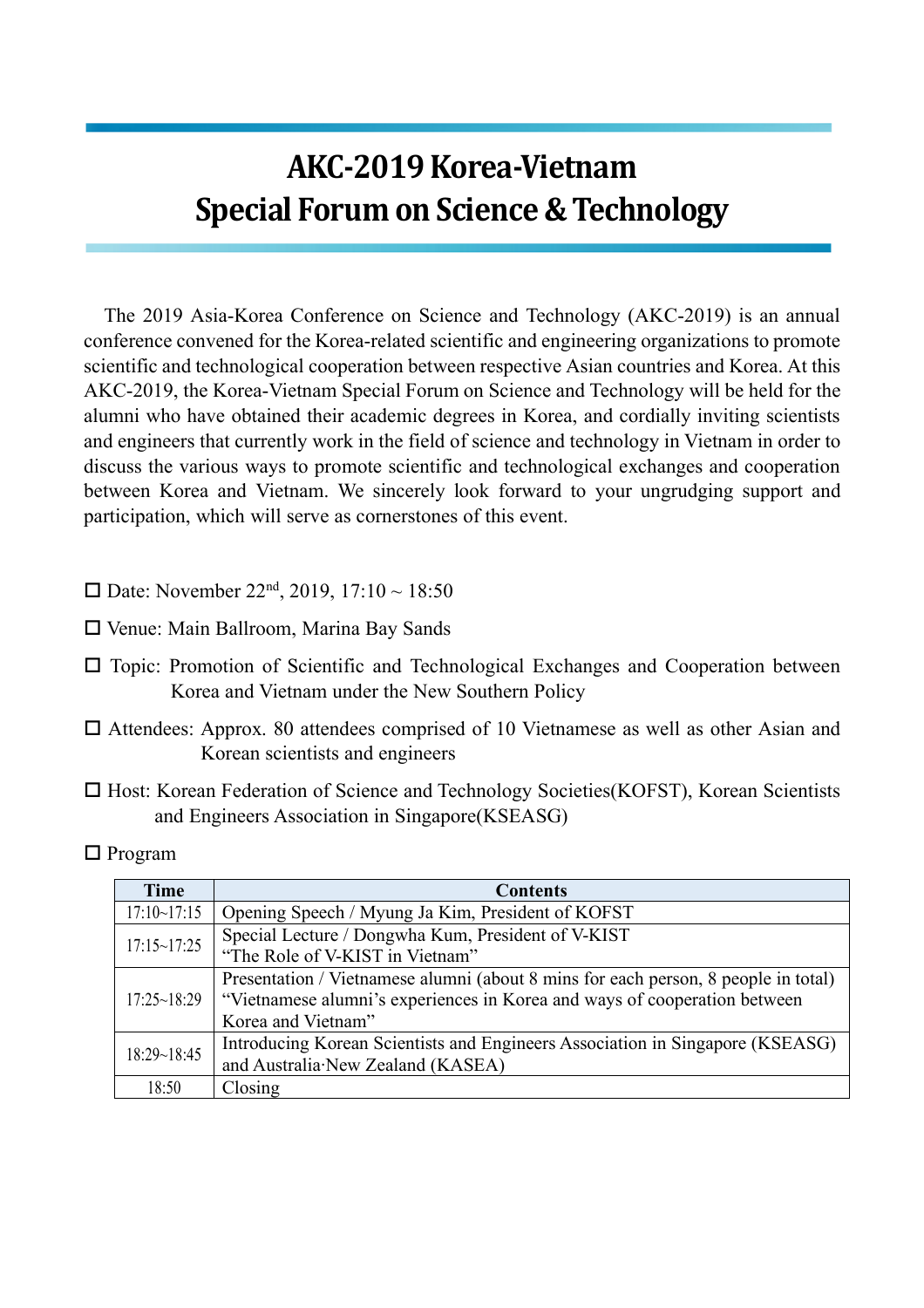## **AKC-2019Korea-Vietnam Special Forum on Science & Technology**

The 2019 Asia-Korea Conference on Science and Technology (AKC-2019) is an annual conference convened for the Korea-related scientific and engineering organizations to promote scientific and technological cooperation between respective Asian countries and Korea. At this AKC-2019, the Korea-Vietnam Special Forum on Science and Technology will be held for the alumni who have obtained their academic degrees in Korea, and cordially inviting scientists and engineers that currently work in the field of science and technology in Vietnam in order to discuss the various ways to promote scientific and technological exchanges and cooperation between Korea and Vietnam. We sincerely look forward to your ungrudging support and participation, which will serve as cornerstones of this event.

- □ Date: November 22<sup>nd</sup>, 2019, 17:10 ~ 18:50
- $\square$  Venue: Main Ballroom, Marina Bay Sands
- $\Box$  Topic: Promotion of Scientific and Technological Exchanges and Cooperation between Korea and Vietnam under the New Southern Policy
- $\square$  Attendees: Approx. 80 attendees comprised of 10 Vietnamese as well as other Asian and Korean scientists and engineers
- $\Box$  Host: Korean Federation of Science and Technology Societies(KOFST), Korean Scientists and Engineers Association in Singapore(KSEASG)

| <b>Time</b>        | <b>Contents</b>                                                                    |
|--------------------|------------------------------------------------------------------------------------|
| 17:10~17:15        | Opening Speech / Myung Ja Kim, President of KOFST                                  |
| $17:15 \sim 17:25$ | Special Lecture / Dongwha Kum, President of V-KIST                                 |
|                    | "The Role of V-KIST in Vietnam"                                                    |
| 17:25~18:29        | Presentation / Vietnamese alumni (about 8 mins for each person, 8 people in total) |
|                    | "Vietnamese alumni's experiences in Korea and ways of cooperation between          |
|                    | Korea and Vietnam"                                                                 |
| 18:29~18:45        | Introducing Korean Scientists and Engineers Association in Singapore (KSEASG)      |
|                    | and Australia New Zealand (KASEA)                                                  |
| 18:50              | Closing                                                                            |

 $\Box$  Program